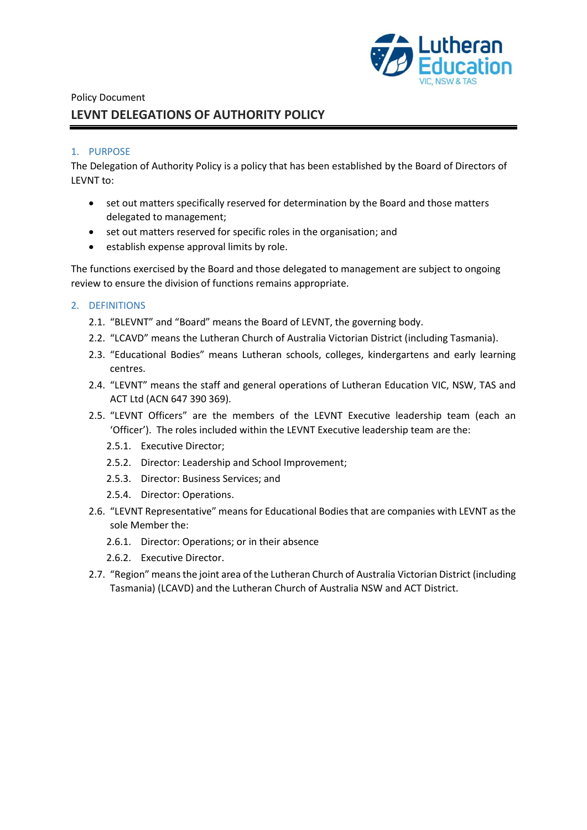

# Policy Document **LEVNT DELEGATIONS OF AUTHORITY POLICY**

#### 1. PURPOSE

The Delegation of Authority Policy is a policy that has been established by the Board of Directors of LEVNT to:

- set out matters specifically reserved for determination by the Board and those matters delegated to management;
- set out matters reserved for specific roles in the organisation; and
- establish expense approval limits by role.

The functions exercised by the Board and those delegated to management are subject to ongoing review to ensure the division of functions remains appropriate.

#### 2. DEFINITIONS

- 2.1. "BLEVNT" and "Board" means the Board of LEVNT, the governing body.
- 2.2. "LCAVD" means the Lutheran Church of Australia Victorian District (including Tasmania).
- 2.3. "Educational Bodies" means Lutheran schools, colleges, kindergartens and early learning centres.
- 2.4. "LEVNT" means the staff and general operations of Lutheran Education VIC, NSW, TAS and ACT Ltd (ACN 647 390 369).
- 2.5. "LEVNT Officers" are the members of the LEVNT Executive leadership team (each an 'Officer'). The roles included within the LEVNT Executive leadership team are the:
	- 2.5.1. Executive Director;
	- 2.5.2. Director: Leadership and School Improvement;
	- 2.5.3. Director: Business Services; and
	- 2.5.4. Director: Operations.
- 2.6. "LEVNT Representative" means for Educational Bodies that are companies with LEVNT as the sole Member the:
	- 2.6.1. Director: Operations; or in their absence
	- 2.6.2. Executive Director.
- 2.7. "Region" means the joint area of the Lutheran Church of Australia Victorian District (including Tasmania) (LCAVD) and the Lutheran Church of Australia NSW and ACT District.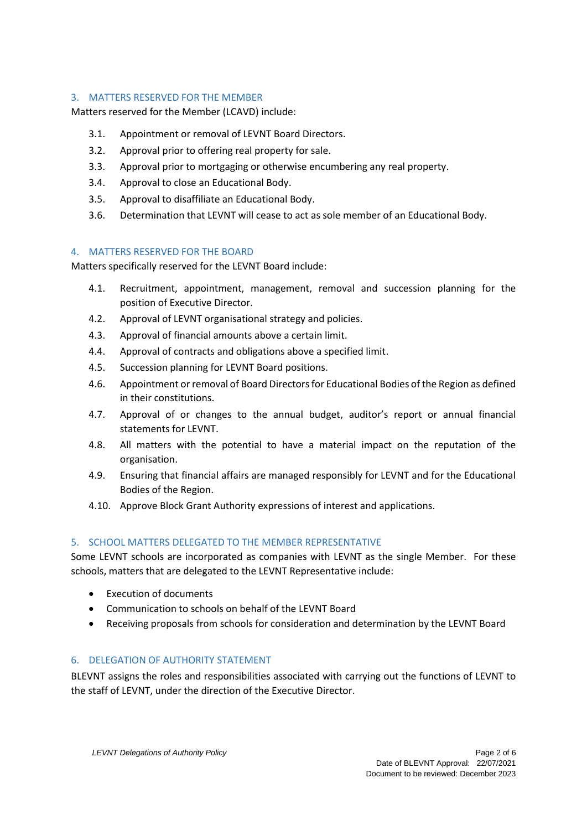# 3. MATTERS RESERVED FOR THE MEMBER

Matters reserved for the Member (LCAVD) include:

- 3.1. Appointment or removal of LEVNT Board Directors.
- 3.2. Approval prior to offering real property for sale.
- 3.3. Approval prior to mortgaging or otherwise encumbering any real property.
- 3.4. Approval to close an Educational Body.
- 3.5. Approval to disaffiliate an Educational Body.
- 3.6. Determination that LEVNT will cease to act as sole member of an Educational Body.

#### 4. MATTERS RESERVED FOR THE BOARD

Matters specifically reserved for the LEVNT Board include:

- 4.1. Recruitment, appointment, management, removal and succession planning for the position of Executive Director.
- 4.2. Approval of LEVNT organisational strategy and policies.
- 4.3. Approval of financial amounts above a certain limit.
- 4.4. Approval of contracts and obligations above a specified limit.
- 4.5. Succession planning for LEVNT Board positions.
- 4.6. Appointment or removal of Board Directors for Educational Bodies of the Region as defined in their constitutions.
- 4.7. Approval of or changes to the annual budget, auditor's report or annual financial statements for LEVNT.
- 4.8. All matters with the potential to have a material impact on the reputation of the organisation.
- 4.9. Ensuring that financial affairs are managed responsibly for LEVNT and for the Educational Bodies of the Region.
- 4.10. Approve Block Grant Authority expressions of interest and applications.

### 5. SCHOOL MATTERS DELEGATED TO THE MEMBER REPRESENTATIVE

Some LEVNT schools are incorporated as companies with LEVNT as the single Member. For these schools, matters that are delegated to the LEVNT Representative include:

- Execution of documents
- Communication to schools on behalf of the LEVNT Board
- Receiving proposals from schools for consideration and determination by the LEVNT Board

#### 6. DELEGATION OF AUTHORITY STATEMENT

BLEVNT assigns the roles and responsibilities associated with carrying out the functions of LEVNT to the staff of LEVNT, under the direction of the Executive Director.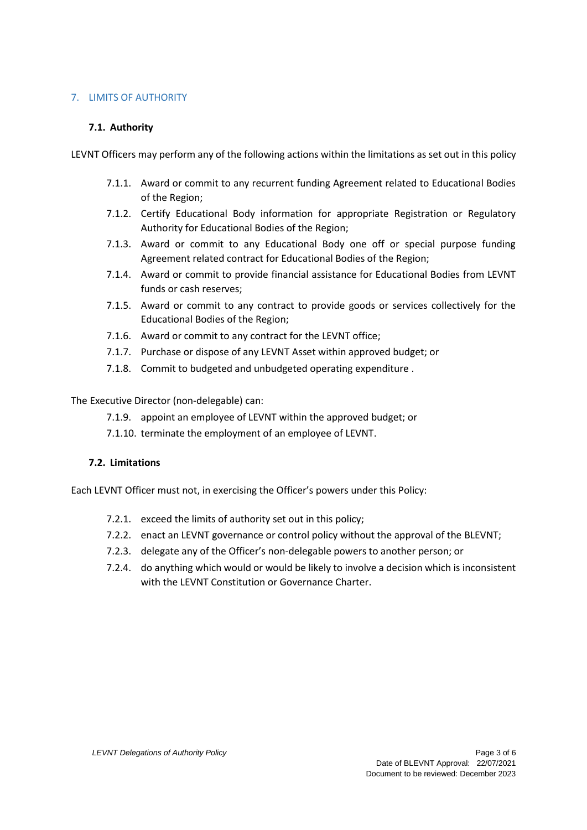# 7. LIMITS OF AUTHORITY

### **7.1. Authority**

LEVNT Officers may perform any of the following actions within the limitations as set out in this policy

- 7.1.1. Award or commit to any recurrent funding Agreement related to Educational Bodies of the Region;
- 7.1.2. Certify Educational Body information for appropriate Registration or Regulatory Authority for Educational Bodies of the Region;
- 7.1.3. Award or commit to any Educational Body one off or special purpose funding Agreement related contract for Educational Bodies of the Region;
- 7.1.4. Award or commit to provide financial assistance for Educational Bodies from LEVNT funds or cash reserves;
- 7.1.5. Award or commit to any contract to provide goods or services collectively for the Educational Bodies of the Region;
- 7.1.6. Award or commit to any contract for the LEVNT office;
- 7.1.7. Purchase or dispose of any LEVNT Asset within approved budget; or
- 7.1.8. Commit to budgeted and unbudgeted operating expenditure .

The Executive Director (non-delegable) can:

- 7.1.9. appoint an employee of LEVNT within the approved budget; or
- 7.1.10. terminate the employment of an employee of LEVNT.

### **7.2. Limitations**

Each LEVNT Officer must not, in exercising the Officer's powers under this Policy:

- 7.2.1. exceed the limits of authority set out in this policy;
- 7.2.2. enact an LEVNT governance or control policy without the approval of the BLEVNT;
- 7.2.3. delegate any of the Officer's non-delegable powers to another person; or
- 7.2.4. do anything which would or would be likely to involve a decision which is inconsistent with the LEVNT Constitution or Governance Charter.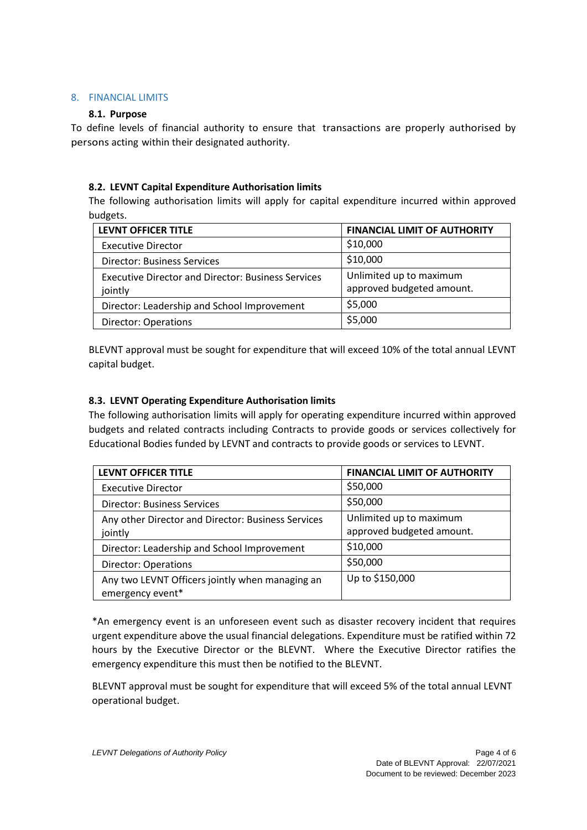### 8. FINANCIAL LIMITS

### **8.1. Purpose**

To define levels of financial authority to ensure that transactions are properly authorised by persons acting within their designated authority.

# **8.2. LEVNT Capital Expenditure Authorisation limits**

The following authorisation limits will apply for capital expenditure incurred within approved budgets.

| <b>LEVNT OFFICER TITLE</b>                                           | <b>FINANCIAL LIMIT OF AUTHORITY</b>                  |
|----------------------------------------------------------------------|------------------------------------------------------|
| <b>Executive Director</b>                                            | \$10,000                                             |
| <b>Director: Business Services</b>                                   | \$10,000                                             |
| <b>Executive Director and Director: Business Services</b><br>jointly | Unlimited up to maximum<br>approved budgeted amount. |
| Director: Leadership and School Improvement                          | \$5,000                                              |
| <b>Director: Operations</b>                                          | \$5,000                                              |

BLEVNT approval must be sought for expenditure that will exceed 10% of the total annual LEVNT capital budget.

# **8.3. LEVNT Operating Expenditure Authorisation limits**

The following authorisation limits will apply for operating expenditure incurred within approved budgets and related contracts including Contracts to provide goods or services collectively for Educational Bodies funded by LEVNT and contracts to provide goods or services to LEVNT.

| <b>LEVNT OFFICER TITLE</b>                                          | <b>FINANCIAL LIMIT OF AUTHORITY</b>                  |
|---------------------------------------------------------------------|------------------------------------------------------|
| <b>Executive Director</b>                                           | \$50,000                                             |
| <b>Director: Business Services</b>                                  | \$50,000                                             |
| Any other Director and Director: Business Services<br>jointly       | Unlimited up to maximum<br>approved budgeted amount. |
| Director: Leadership and School Improvement                         | \$10,000                                             |
| <b>Director: Operations</b>                                         | \$50,000                                             |
| Any two LEVNT Officers jointly when managing an<br>emergency event* | Up to \$150,000                                      |

\*An emergency event is an unforeseen event such as disaster recovery incident that requires urgent expenditure above the usual financial delegations. Expenditure must be ratified within 72 hours by the Executive Director or the BLEVNT. Where the Executive Director ratifies the emergency expenditure this must then be notified to the BLEVNT.

BLEVNT approval must be sought for expenditure that will exceed 5% of the total annual LEVNT operational budget.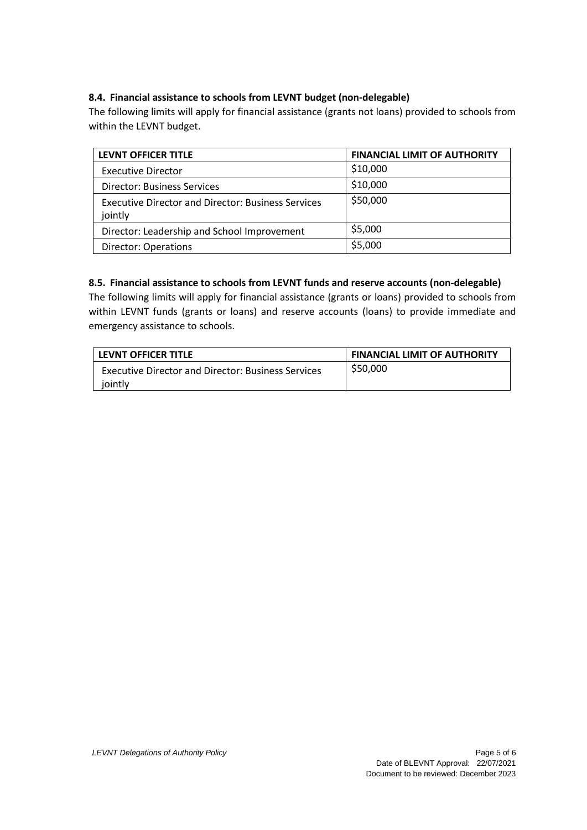# **8.4. Financial assistance to schools from LEVNT budget (non-delegable)**

The following limits will apply for financial assistance (grants not loans) provided to schools from within the LEVNT budget.

| <b>LEVNT OFFICER TITLE</b>                                           | <b>FINANCIAL LIMIT OF AUTHORITY</b> |
|----------------------------------------------------------------------|-------------------------------------|
| <b>Executive Director</b>                                            | \$10,000                            |
| <b>Director: Business Services</b>                                   | \$10,000                            |
| <b>Executive Director and Director: Business Services</b><br>jointly | \$50,000                            |
| Director: Leadership and School Improvement                          | \$5,000                             |
| <b>Director: Operations</b>                                          | \$5,000                             |

# **8.5. Financial assistance to schools from LEVNT funds and reserve accounts (non-delegable)**

The following limits will apply for financial assistance (grants or loans) provided to schools from within LEVNT funds (grants or loans) and reserve accounts (loans) to provide immediate and emergency assistance to schools.

| LEVNT OFFICER TITLE                                                  | <b>FINANCIAL LIMIT OF AUTHORITY</b> |
|----------------------------------------------------------------------|-------------------------------------|
| <b>Executive Director and Director: Business Services</b><br>jointly | \$50,000                            |